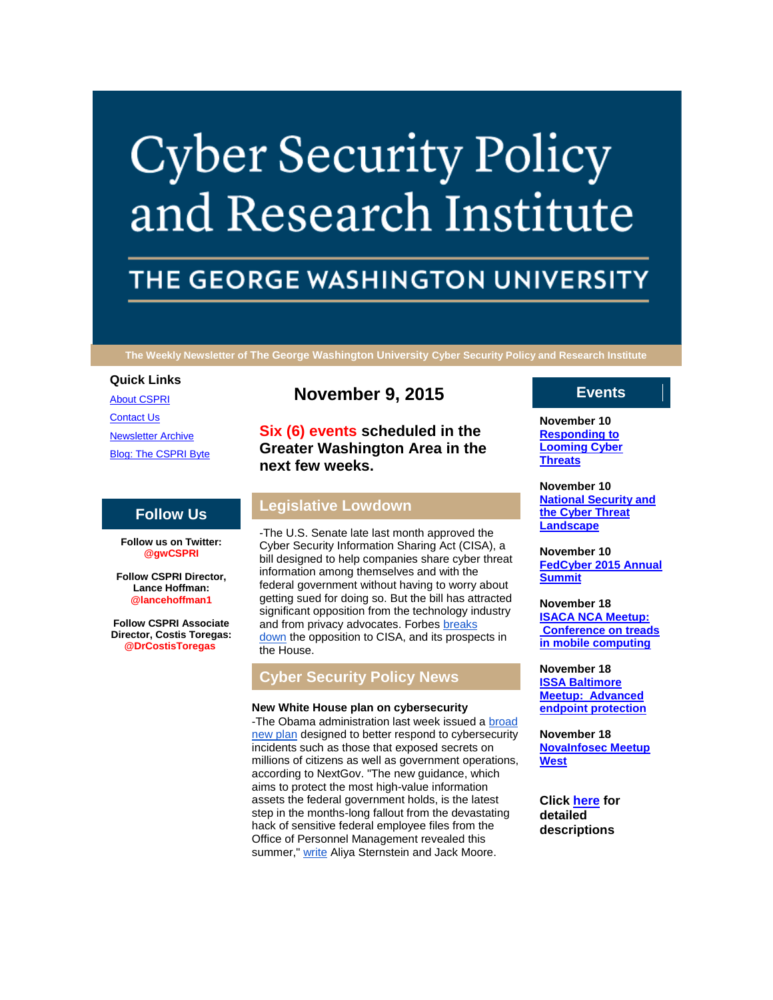# **Cyber Security Policy** and Research Institute

# THE GEORGE WASHINGTON UNIVERSITY

**The Weekly Newsletter of The George Washington University Cyber Security Policy and Research Institute**

### **Quick Links**

[About CSPRI](http://r20.rs6.net/tn.jsp?f=0012BSD4RlpjltJ0NPH0DtW5pG4XPgi1txnR8jyA9yhPK5ED0q3F4i34E0TqbHJQXbzbhnqp_88TBBX9KlJx48f_0udvUTxtxPwFNd2n6C1FDO_Izf5LPXSOtQwhldv2Z1bzmyfUGbw0Q_sVEhf045pK3b0xZtK7RBIZReNqZInpaVqyLIbomSDB41zYKV73T7_&c=&ch=) [Contact Us](http://r20.rs6.net/tn.jsp?f=0012BSD4RlpjltJ0NPH0DtW5pG4XPgi1txnR8jyA9yhPK5ED0q3F4i34E0TqbHJQXbzjMJD5LQVYRks8LjmdDFuZgUodfFuvGYVLTFcoz73y6Q86uewEVxi7pFHDCgN0DlNNR6MPGyLQXy8MPqLbOuyZneVrZHBlsuvQo0d_77GJUiLrBoH-Zq3-gfArXncGEhvVDfhzmDPMgU=&c=&ch=) [Newsletter Archive](http://r20.rs6.net/tn.jsp?f=0012BSD4RlpjltJ0NPH0DtW5pG4XPgi1txnR8jyA9yhPK5ED0q3F4i34E0TqbHJQXbzuok90J_VNQ2_4uQypjkskFghy-eEKtTfNAjFPgqZ5inRdmEsOtv9kgzHrD-noRhVd3bxWcfiiprJGPNPQ1-aIj0EJABoBLsXuE2Pk8UpAZaYnyhq1khapLoLekSqVr54O0mo4nbrEiE=&c=&ch=) [Blog: The CSPRI Byte](http://r20.rs6.net/tn.jsp?f=0012BSD4RlpjltJ0NPH0DtW5pG4XPgi1txnR8jyA9yhPK5ED0q3F4i34E0TqbHJQXbzdX0MtRyc3AICGkZpdJMClq3JAkYJlpSEhuXnFQJY3fm_DYzg6_25ZQQ67QxUIBN9rTh6UsWQ5cKspeEkQfh5RR4dz9-ATKaBlT2bk850DpL-2Oxh87J227uKbOHIaswI&c=&ch=)

# **Follow Us**

**Follow us on Twitter: @gwCSPRI**

**Follow CSPRI Director, Lance Hoffman: @lancehoffman1**

**Follow CSPRI Associate Director, Costis Toregas: @DrCostisToregas**

# **November 9, 2015**

**Six (6) events scheduled in the Greater Washington Area in the next few weeks.**

# **Legislative Lowdown**

-The U.S. Senate late last month approved the Cyber Security Information Sharing Act (CISA), a bill designed to help companies share cyber threat information among themselves and with the federal government without having to worry about getting sued for doing so. But the bill has attracted significant opposition from the technology industry and from privacy advocates. Forbes breaks [down](http://r20.rs6.net/tn.jsp?f=0012BSD4RlpjltJ0NPH0DtW5pG4XPgi1txnR8jyA9yhPK5ED0q3F4i34AXjiT-FdLnMIsVKk_Sw2lIxX2bweQKSd_it8B4AjEU89rRjPSxzyCBCiYUaNOk92hqdDKQDHdqoMJOO4N2drebL83c5sk5pdcaXuXSWhkn469EIwGMFaRsU2-nKOJhMGHhvQbBxT7nAaHBDhPgQ30Lef6_EEsxJXmJFYCvKPHzDVA5SIdkrhb8SK8GbDD8SccxQ5kZK4ljft72x6yNudEhnw_bgQkPSr-IffH9dibLb_26J5Et9IegdfD3rLWdkn9N-gC8H-eCjkMNk_YbWQ7Kdjmo1QtS6gA==&c=&ch=) the opposition to CISA, and its prospects in the House.

# **Cyber Security Policy News**

## **New White House plan on cybersecurity**

-The Obama administration last week issued a broad [new plan](http://r20.rs6.net/tn.jsp?f=0012BSD4RlpjltJ0NPH0DtW5pG4XPgi1txnR8jyA9yhPK5ED0q3F4i34Fjx987-v3u7taPVm7cRMkVrOPiTm-K8-2sZgVlVJEmm2hLUoGcLSZ8WKom2dnBy9ucx8pPsQz7PsdHKoLSUIGF2Z2udNiRCA7Q8hcyzbgFThJ9vywhEhlUumWYXuXijcdhhTW2DzW9hC35HZ7Zs3d5btyfOuuZB08bWpxQvgZELSWXLrBzKnpuz1n8oeRxJpF72nysak8xw&c=&ch=) designed to better respond to cybersecurity incidents such as those that exposed secrets on millions of citizens as well as government operations, according to NextGov. "The new guidance, which aims to protect the most high-value information assets the federal government holds, is the latest step in the months-long fallout from the devastating hack of sensitive federal employee files from the Office of Personnel Management revealed this summer," [write](http://r20.rs6.net/tn.jsp?f=0012BSD4RlpjltJ0NPH0DtW5pG4XPgi1txnR8jyA9yhPK5ED0q3F4i34AXjiT-FdLnM4uoOCbMbR5LQHg4ZEbPm4pcxAzHGBmSp0pibWJ6fAjxXYXBf0JRRCYXezhVhpljQ7RR5_IFHGfalGTAjdUrgUyq4oZWGy6t7oqtXZwoVCJ-WGXDbCbliESgpKVUmDbxyFmhV9ojKa9fY9iW--GBKO34zHlAsTo1Vvo9lEosAtM5LuE6gapx4ubFK6ly1hQxpj9Fin-GvZYeMGMn_-1Jl3PZz_ooagHpClyrYBqJVMP8=&c=&ch=) Aliya Sternstein and Jack Moore.

# **Events**

**November 10 [Responding to](http://r20.rs6.net/tn.jsp?f=0012BSD4RlpjltJ0NPH0DtW5pG4XPgi1txnR8jyA9yhPK5ED0q3F4i34C5lvVCHwqndUyPkUO2cGFXEeiMjCN_c11DSX1p75R4uCXUw78OXKU7aepa8JS-r_hnMeeHMEkrZbjsB9rERmvB1JDi6U6riU4XLTiujnCxcF5ygiUEAwgtrIHLYA0tlIxPugKvkrTQ0Giup7_WHs8I=&c=&ch=)  [Looming Cyber](http://r20.rs6.net/tn.jsp?f=0012BSD4RlpjltJ0NPH0DtW5pG4XPgi1txnR8jyA9yhPK5ED0q3F4i34C5lvVCHwqndUyPkUO2cGFXEeiMjCN_c11DSX1p75R4uCXUw78OXKU7aepa8JS-r_hnMeeHMEkrZbjsB9rERmvB1JDi6U6riU4XLTiujnCxcF5ygiUEAwgtrIHLYA0tlIxPugKvkrTQ0Giup7_WHs8I=&c=&ch=)  [Threats](http://r20.rs6.net/tn.jsp?f=0012BSD4RlpjltJ0NPH0DtW5pG4XPgi1txnR8jyA9yhPK5ED0q3F4i34C5lvVCHwqndUyPkUO2cGFXEeiMjCN_c11DSX1p75R4uCXUw78OXKU7aepa8JS-r_hnMeeHMEkrZbjsB9rERmvB1JDi6U6riU4XLTiujnCxcF5ygiUEAwgtrIHLYA0tlIxPugKvkrTQ0Giup7_WHs8I=&c=&ch=)**

**November 10 [National Security and](http://r20.rs6.net/tn.jsp?f=0012BSD4RlpjltJ0NPH0DtW5pG4XPgi1txnR8jyA9yhPK5ED0q3F4i34C5lvVCHwqndUyPkUO2cGFXEeiMjCN_c11DSX1p75R4uCXUw78OXKU7aepa8JS-r_hnMeeHMEkrZbjsB9rERmvB1JDi6U6riU4XLTiujnCxcF5ygiUEAwgtrIHLYA0tlIxPugKvkrTQ0Giup7_WHs8I=&c=&ch=)  [the Cyber Threat](http://r20.rs6.net/tn.jsp?f=0012BSD4RlpjltJ0NPH0DtW5pG4XPgi1txnR8jyA9yhPK5ED0q3F4i34C5lvVCHwqndUyPkUO2cGFXEeiMjCN_c11DSX1p75R4uCXUw78OXKU7aepa8JS-r_hnMeeHMEkrZbjsB9rERmvB1JDi6U6riU4XLTiujnCxcF5ygiUEAwgtrIHLYA0tlIxPugKvkrTQ0Giup7_WHs8I=&c=&ch=)  [Landscape](http://r20.rs6.net/tn.jsp?f=0012BSD4RlpjltJ0NPH0DtW5pG4XPgi1txnR8jyA9yhPK5ED0q3F4i34C5lvVCHwqndUyPkUO2cGFXEeiMjCN_c11DSX1p75R4uCXUw78OXKU7aepa8JS-r_hnMeeHMEkrZbjsB9rERmvB1JDi6U6riU4XLTiujnCxcF5ygiUEAwgtrIHLYA0tlIxPugKvkrTQ0Giup7_WHs8I=&c=&ch=)**

**November 10 [FedCyber 2015 Annual](http://r20.rs6.net/tn.jsp?f=0012BSD4RlpjltJ0NPH0DtW5pG4XPgi1txnR8jyA9yhPK5ED0q3F4i34C5lvVCHwqndUyPkUO2cGFXEeiMjCN_c11DSX1p75R4uCXUw78OXKU7aepa8JS-r_hnMeeHMEkrZbjsB9rERmvB1JDi6U6riU4XLTiujnCxcF5ygiUEAwgtrIHLYA0tlIxPugKvkrTQ0Giup7_WHs8I=&c=&ch=)  [Summit](http://r20.rs6.net/tn.jsp?f=0012BSD4RlpjltJ0NPH0DtW5pG4XPgi1txnR8jyA9yhPK5ED0q3F4i34C5lvVCHwqndUyPkUO2cGFXEeiMjCN_c11DSX1p75R4uCXUw78OXKU7aepa8JS-r_hnMeeHMEkrZbjsB9rERmvB1JDi6U6riU4XLTiujnCxcF5ygiUEAwgtrIHLYA0tlIxPugKvkrTQ0Giup7_WHs8I=&c=&ch=)**

**November 18 [ISACA NCA Meetup:](http://r20.rs6.net/tn.jsp?f=0012BSD4RlpjltJ0NPH0DtW5pG4XPgi1txnR8jyA9yhPK5ED0q3F4i34C5lvVCHwqndUyPkUO2cGFXEeiMjCN_c11DSX1p75R4uCXUw78OXKU7aepa8JS-r_hnMeeHMEkrZbjsB9rERmvB1JDi6U6riU4XLTiujnCxcF5ygiUEAwgtrIHLYA0tlIxPugKvkrTQ0Giup7_WHs8I=&c=&ch=)  [Conference on treads](http://r20.rs6.net/tn.jsp?f=0012BSD4RlpjltJ0NPH0DtW5pG4XPgi1txnR8jyA9yhPK5ED0q3F4i34C5lvVCHwqndUyPkUO2cGFXEeiMjCN_c11DSX1p75R4uCXUw78OXKU7aepa8JS-r_hnMeeHMEkrZbjsB9rERmvB1JDi6U6riU4XLTiujnCxcF5ygiUEAwgtrIHLYA0tlIxPugKvkrTQ0Giup7_WHs8I=&c=&ch=)  [in mobile computing](http://r20.rs6.net/tn.jsp?f=0012BSD4RlpjltJ0NPH0DtW5pG4XPgi1txnR8jyA9yhPK5ED0q3F4i34C5lvVCHwqndUyPkUO2cGFXEeiMjCN_c11DSX1p75R4uCXUw78OXKU7aepa8JS-r_hnMeeHMEkrZbjsB9rERmvB1JDi6U6riU4XLTiujnCxcF5ygiUEAwgtrIHLYA0tlIxPugKvkrTQ0Giup7_WHs8I=&c=&ch=)**

**November 18 [ISSA Baltimore](http://r20.rs6.net/tn.jsp?f=0012BSD4RlpjltJ0NPH0DtW5pG4XPgi1txnR8jyA9yhPK5ED0q3F4i34C5lvVCHwqndUyPkUO2cGFXEeiMjCN_c11DSX1p75R4uCXUw78OXKU7aepa8JS-r_hnMeeHMEkrZbjsB9rERmvB1JDi6U6riU4XLTiujnCxcF5ygiUEAwgtrIHLYA0tlIxPugKvkrTQ0Giup7_WHs8I=&c=&ch=)  [Meetup: Advanced](http://r20.rs6.net/tn.jsp?f=0012BSD4RlpjltJ0NPH0DtW5pG4XPgi1txnR8jyA9yhPK5ED0q3F4i34C5lvVCHwqndUyPkUO2cGFXEeiMjCN_c11DSX1p75R4uCXUw78OXKU7aepa8JS-r_hnMeeHMEkrZbjsB9rERmvB1JDi6U6riU4XLTiujnCxcF5ygiUEAwgtrIHLYA0tlIxPugKvkrTQ0Giup7_WHs8I=&c=&ch=)  [endpoint protection](http://r20.rs6.net/tn.jsp?f=0012BSD4RlpjltJ0NPH0DtW5pG4XPgi1txnR8jyA9yhPK5ED0q3F4i34C5lvVCHwqndUyPkUO2cGFXEeiMjCN_c11DSX1p75R4uCXUw78OXKU7aepa8JS-r_hnMeeHMEkrZbjsB9rERmvB1JDi6U6riU4XLTiujnCxcF5ygiUEAwgtrIHLYA0tlIxPugKvkrTQ0Giup7_WHs8I=&c=&ch=)**

**November 18 [NovaInfosec Meetup](http://r20.rs6.net/tn.jsp?f=0012BSD4RlpjltJ0NPH0DtW5pG4XPgi1txnR8jyA9yhPK5ED0q3F4i34C5lvVCHwqndUyPkUO2cGFXEeiMjCN_c11DSX1p75R4uCXUw78OXKU7aepa8JS-r_hnMeeHMEkrZbjsB9rERmvB1JDi6U6riU4XLTiujnCxcF5ygiUEAwgtrIHLYA0tlIxPugKvkrTQ0Giup7_WHs8I=&c=&ch=)  [West](http://r20.rs6.net/tn.jsp?f=0012BSD4RlpjltJ0NPH0DtW5pG4XPgi1txnR8jyA9yhPK5ED0q3F4i34C5lvVCHwqndUyPkUO2cGFXEeiMjCN_c11DSX1p75R4uCXUw78OXKU7aepa8JS-r_hnMeeHMEkrZbjsB9rERmvB1JDi6U6riU4XLTiujnCxcF5ygiUEAwgtrIHLYA0tlIxPugKvkrTQ0Giup7_WHs8I=&c=&ch=)**

**Click [here](http://r20.rs6.net/tn.jsp?f=0012BSD4RlpjltJ0NPH0DtW5pG4XPgi1txnR8jyA9yhPK5ED0q3F4i34E0TqbHJQXbzlQDymb7fsPSENuNWdZCf6PL9aJ4HK_G4CTlL7houI790N03yXVhreD5Up8gQWEeBK51d91RUJTmB6lnDrvqNyvVk7pY6jPI3T_g1-bKZKVBKlP1vdjYLt_azoHwRG5yIR2giqQRmysuIGP6Kets3uw==&c=&ch=) for detailed descriptions**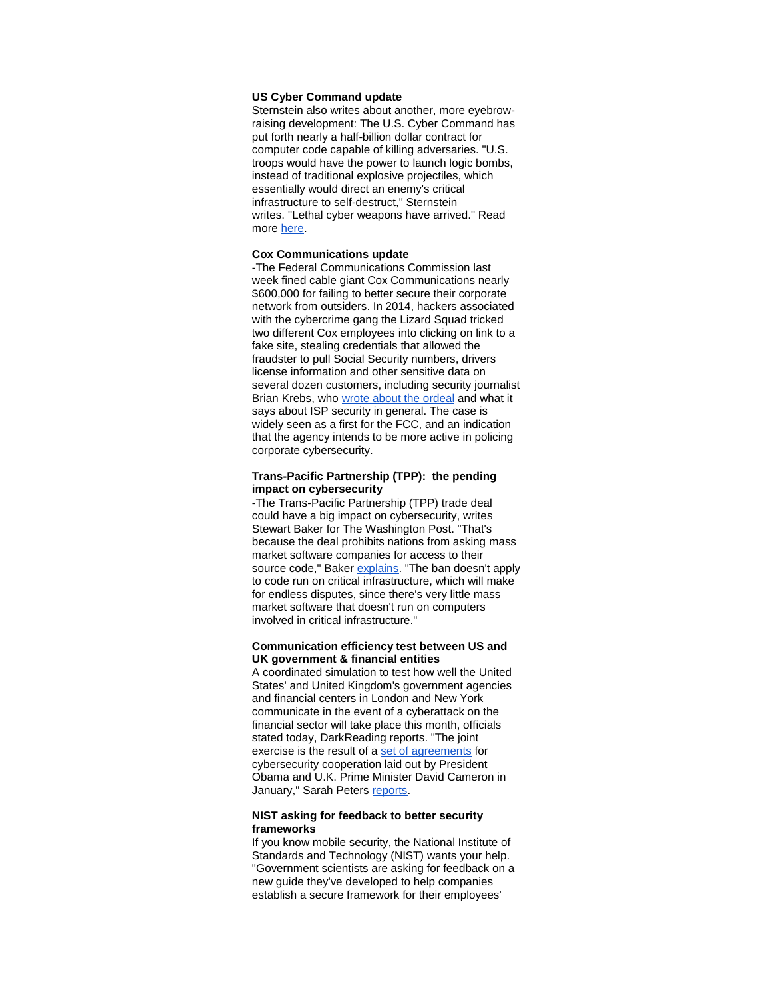#### **US Cyber Command update**

Sternstein also writes about another, more eyebrowraising development: The U.S. Cyber Command has put forth nearly a half-billion dollar contract for computer code capable of killing adversaries. "U.S. troops would have the power to launch logic bombs, instead of traditional explosive projectiles, which essentially would direct an enemy's critical infrastructure to self-destruct," Sternstein writes. "Lethal cyber weapons have arrived." Read more [here.](http://r20.rs6.net/tn.jsp?f=0012BSD4RlpjltJ0NPH0DtW5pG4XPgi1txnR8jyA9yhPK5ED0q3F4i34AXjiT-FdLnMcgHw8FDCPbQgNjzSErL4pw0dFaFZZdtivIgUQqa-2jG2Uu7ynWzXrPgzLLF2fOPqmDyUBKKhYtSoDwqIHWUiUeyrSCeaUYWkrBi5qwfu_r_Hfgw0UZ6t6ehuYjCIFOOgNU15rpl46kUxo4hP7JVTWGRxFGVXu2he5XzQYdejewiwM6NhB8GvINVTHNIcBEh1fS5G5zatOEt2YWM-N_lCtBm9AxIjf1dPK5SOqayjP5g=&c=&ch=)

#### **Cox Communications update**

-The Federal Communications Commission last week fined cable giant Cox Communications nearly \$600,000 for failing to better secure their corporate network from outsiders. In 2014, hackers associated with the cybercrime gang the Lizard Squad tricked two different Cox employees into clicking on link to a fake site, stealing credentials that allowed the fraudster to pull Social Security numbers, drivers license information and other sensitive data on several dozen customers, including security journalist Brian Krebs, who [wrote about the ordeal](http://r20.rs6.net/tn.jsp?f=0012BSD4RlpjltJ0NPH0DtW5pG4XPgi1txnR8jyA9yhPK5ED0q3F4i34AXjiT-FdLnM7DFjpzbl4iVeP0O0GjDnd45JxiwAHHxf0U6LXRl8rpZVgLm2VLXju5mhJBgO8uoTU2WFD8Lmo__Z6hCNQLeuyO6DZ-0I_3CcCkT6ZQlv0Z5sPsiFQVKO2uEuStmSFEinWmAo8y12mqTREauOx8o5e1unu-XBgu6y7hKsc5S1iMQYHZ5DeivPR6xAT1wYx4m5&c=&ch=) and what it says about ISP security in general. The case is widely seen as a first for the FCC, and an indication that the agency intends to be more active in policing corporate cybersecurity.

#### **Trans-Pacific Partnership (TPP): the pending impact on cybersecurity**

-The Trans-Pacific Partnership (TPP) trade deal could have a big impact on cybersecurity, writes Stewart Baker for The Washington Post. "That's because the deal prohibits nations from asking mass market software companies for access to their source code," Baker [explains.](http://r20.rs6.net/tn.jsp?f=0012BSD4RlpjltJ0NPH0DtW5pG4XPgi1txnR8jyA9yhPK5ED0q3F4i34AXjiT-FdLnMSF9PfS5AiDFgXkPUR2rrhKxfzzPLPU8GN-eZPr3AMbWpouyVXRo4soXQ7rzBr07lgLMUXIFsRyDQO-5hCBPz9tfgEwWvrFXmcZhZ3S7cK35gihc6Jc3UEhBnmt61kzWs9NSqSeRjasJ7lNE19uOm2Q7lvv4CbHAW1myWLBs63SkjZ52rKLn4qgB9inL5SMku1-YHRaLb0vYUByCBBsQkQo2-SHFbVwPq&c=&ch=) "The ban doesn't apply to code run on critical infrastructure, which will make for endless disputes, since there's very little mass market software that doesn't run on computers involved in critical infrastructure."

#### **Communication efficiency test between US and UK government & financial entities**

A coordinated simulation to test how well the United States' and United Kingdom's government agencies and financial centers in London and New York communicate in the event of a cyberattack on the financial sector will take place this month, officials stated today, DarkReading reports. "The joint exercise is the result of a [set of agreements](http://r20.rs6.net/tn.jsp?f=0012BSD4RlpjltJ0NPH0DtW5pG4XPgi1txnR8jyA9yhPK5ED0q3F4i34AXjiT-FdLnMUeUg41Mtq8OVT-USHCQVhfYRRTbB8udDtFBN1dmZth2f2Bue6_eyqUbiwxL3xOhEholMOAGmJRkPaHXNYEfOj-bzhD-UYxfegQPOXW4zjFYpM6Oh_c5qrYsxGjCj4E2DU6MNXQEjUbP1idDp8TkSIicJOdXjEfPUGYIHs73Yct1MXm0uIsw_0ZV8BBRAjWfUv-TWmG0oLr8bGKd45AhEvD_eKMqhvrqHdDpJ1p_geWY=&c=&ch=) for cybersecurity cooperation laid out by President Obama and U.K. Prime Minister David Cameron in January," Sarah Peters [reports.](http://r20.rs6.net/tn.jsp?f=0012BSD4RlpjltJ0NPH0DtW5pG4XPgi1txnR8jyA9yhPK5ED0q3F4i34AXjiT-FdLnMuZRW8ou49Yc8M_-LAP2PmO3NWFvZmdteqsS3nZ02cZIheaj2MrB8G3zl3GxNyW5ciOV5MtMRahoGZq5cxUwzI-kZNfaoKRTrtloKkTxF6XSa_PmQpwZBZJJLXIKgXtVLvQ58-0aqb1oxoObf5d7aWx9phmfAVjBpXL3LbiuyIw-hxWpS-fRackyAKuS__9TRwmiR_bYtkVMpa2VITLRggxW0treVHPV3G31wc4wXNzPwlF0HGLRoPWujGFJ8rUxb&c=&ch=)

#### **NIST asking for feedback to better security frameworks**

If you know mobile security, the National Institute of Standards and Technology (NIST) wants your help. "Government scientists are asking for feedback on a new guide they've developed to help companies establish a secure framework for their employees'